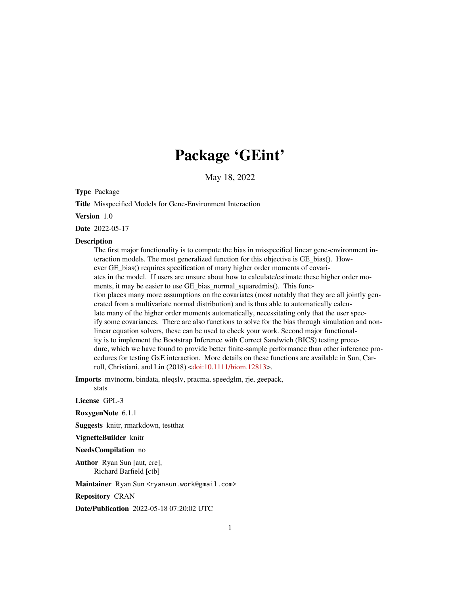# Package 'GEint'

May 18, 2022

Type Package

Title Misspecified Models for Gene-Environment Interaction

Version 1.0

Date 2022-05-17

#### **Description**

The first major functionality is to compute the bias in misspecified linear gene-environment interaction models. The most generalized function for this objective is GE\_bias(). However GE\_bias() requires specification of many higher order moments of covariates in the model. If users are unsure about how to calculate/estimate these higher order moments, it may be easier to use GE bias normal squaredmis(). This function places many more assumptions on the covariates (most notably that they are all jointly generated from a multivariate normal distribution) and is thus able to automatically calculate many of the higher order moments automatically, necessitating only that the user specify some covariances. There are also functions to solve for the bias through simulation and nonlinear equation solvers, these can be used to check your work. Second major functionality is to implement the Bootstrap Inference with Correct Sandwich (BICS) testing procedure, which we have found to provide better finite-sample performance than other inference procedures for testing GxE interaction. More details on these functions are available in Sun, Carroll, Christiani, and Lin (2018) [<doi:10.1111/biom.12813>](https://doi.org/10.1111/biom.12813).

Imports mvtnorm, bindata, nleqslv, pracma, speedglm, rje, geepack,

stats

License GPL-3

RoxygenNote 6.1.1

Suggests knitr, rmarkdown, testthat

VignetteBuilder knitr

NeedsCompilation no

Author Ryan Sun [aut, cre], Richard Barfield [ctb]

Maintainer Ryan Sun <ryansun.work@gmail.com>

Repository CRAN

Date/Publication 2022-05-18 07:20:02 UTC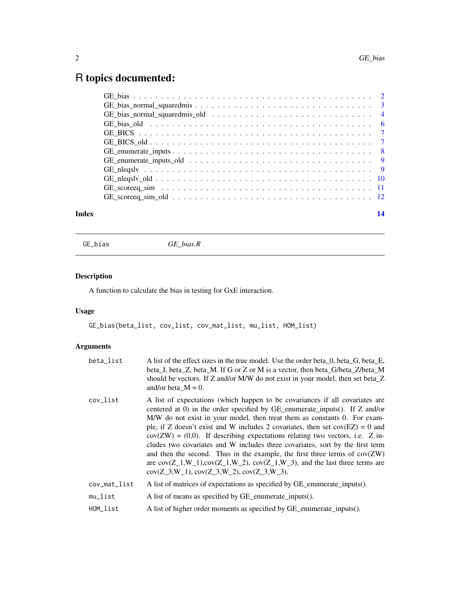## <span id="page-1-0"></span>R topics documented:

| Index | 14 |
|-------|----|
|       |    |
|       |    |
|       |    |
|       |    |
|       |    |
|       |    |
|       |    |
|       |    |
|       |    |
|       |    |
|       |    |
|       |    |

GE\_bias *GE\_bias.R*

### Description

A function to calculate the bias in testing for GxE interaction.

#### Usage

GE\_bias(beta\_list, cov\_list, cov\_mat\_list, mu\_list, HOM\_list)

| beta_list             | A list of the effect sizes in the true model. Use the order beta_0, beta_G, beta_E,<br>beta_I, beta_Z, beta_M. If G or Z or M is a vector, then beta_G/beta_Z/beta_M<br>should be vectors. If Z and/or M/W do not exist in your model, then set beta_Z<br>and/or beta_ $M = 0$ .                                                                                                                                                                                                                                                                                                                                                                                                                                     |
|-----------------------|----------------------------------------------------------------------------------------------------------------------------------------------------------------------------------------------------------------------------------------------------------------------------------------------------------------------------------------------------------------------------------------------------------------------------------------------------------------------------------------------------------------------------------------------------------------------------------------------------------------------------------------------------------------------------------------------------------------------|
| cov_list              | A list of expectations (which happen to be covariances if all covariates are<br>centered at 0) in the order specified by GE_enumerate_inputs(). If Z and/or<br>M/W do not exist in your model, then treat them as constants 0. For exam-<br>ple, if Z doesn't exist and W includes 2 covariates, then set $cov(EZ) = 0$ and<br>$cov(ZW) = (0,0)$ . If describing expectations relating two vectors, i.e. Z in-<br>cludes two covariates and W includes three covariates, sort by the first term<br>and then the second. Thus in the example, the first three terms of $cov(ZW)$<br>are $cov(Z_1, W_1), cov(Z_1, W_2), cov(Z_1, W_3),$ and the last three terms are<br>$cov(Z_3, W_1), cov(Z_3, W_2), cov(Z_3, W_3).$ |
| cov_mat_list          | A list of matrices of expectations as specified by GE_enumerate_inputs().                                                                                                                                                                                                                                                                                                                                                                                                                                                                                                                                                                                                                                            |
| $mu$ <sub>_list</sub> | A list of means as specified by GE_enumerate_inputs().                                                                                                                                                                                                                                                                                                                                                                                                                                                                                                                                                                                                                                                               |
| HOM list              | A list of higher order moments as specified by GE_enumerate_inputs().                                                                                                                                                                                                                                                                                                                                                                                                                                                                                                                                                                                                                                                |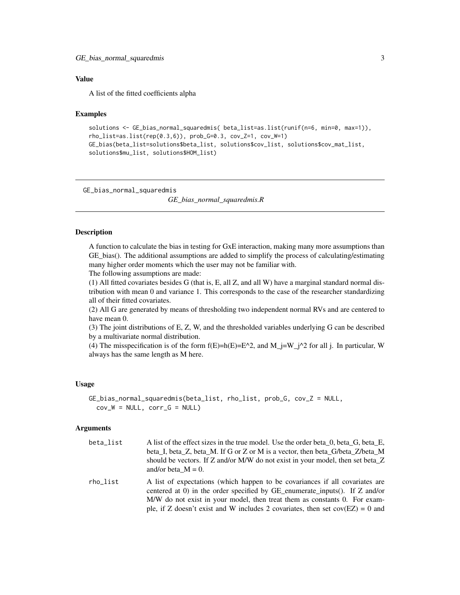<span id="page-2-0"></span>A list of the fitted coefficients alpha

#### Examples

```
solutions <- GE_bias_normal_squaredmis( beta_list=as.list(runif(n=6, min=0, max=1)),
rho_list=as.list(rep(0.3,6)), prob_G=0.3, cov_Z=1, cov_W=1)
GE_bias(beta_list=solutions$beta_list, solutions$cov_list, solutions$cov_mat_list,
solutions$mu_list, solutions$HOM_list)
```
GE\_bias\_normal\_squaredmis

*GE\_bias\_normal\_squaredmis.R*

#### Description

A function to calculate the bias in testing for GxE interaction, making many more assumptions than GE\_bias(). The additional assumptions are added to simplify the process of calculating/estimating many higher order moments which the user may not be familiar with.

The following assumptions are made:

(1) All fitted covariates besides G (that is, E, all Z, and all W) have a marginal standard normal distribution with mean 0 and variance 1. This corresponds to the case of the researcher standardizing all of their fitted covariates.

(2) All G are generated by means of thresholding two independent normal RVs and are centered to have mean 0.

(3) The joint distributions of E, Z, W, and the thresholded variables underlying G can be described by a multivariate normal distribution.

(4) The misspecification is of the form  $f(E)=h(E)=E^2/2$ , and  $M_i=W_i^2/2$  for all j. In particular, W always has the same length as M here.

#### Usage

```
GE_bias_normal_squaredmis(beta_list, rho_list, prob_G, cov_Z = NULL,
 cov_W = NULL, corr_G = NULL
```
#### Arguments

| beta list | A list of the effect sizes in the true model. Use the order beta 0, beta G, beta E,<br>beta I, beta Z, beta M. If G or Z or M is a vector, then beta G/beta Z/beta M<br>should be vectors. If Z and/or M/W do not exist in your model, then set beta Z<br>and/or beta $M = 0$ . |
|-----------|---------------------------------------------------------------------------------------------------------------------------------------------------------------------------------------------------------------------------------------------------------------------------------|
| rho list  | A list of expectations (which happen to be covariances if all covariates are<br>centered at 0) in the order specified by GE enumerate inputs(). If $Z$ and/or<br>M/W do not exist in your model, then treat them as constants 0. For exam-                                      |

ple, if Z doesn't exist and W includes 2 covariates, then set  $cov(EZ) = 0$  and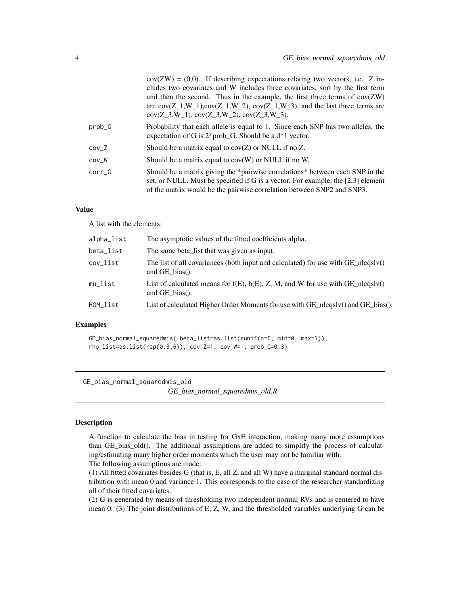<span id="page-3-0"></span>

|          | $cov(ZW) = (0,0)$ . If describing expectations relating two vectors, i.e. Z in-<br>cludes two covariates and W includes three covariates, sort by the first term<br>and then the second. Thus in the example, the first three terms of $cov(ZW)$<br>are $cov(Z_1, W_1), cov(Z_1, W_2), cov(Z_1, W_3),$ and the last three terms are<br>$cov(Z_3, W_1), cov(Z_3, W_2), cov(Z_3, W_3).$ |
|----------|---------------------------------------------------------------------------------------------------------------------------------------------------------------------------------------------------------------------------------------------------------------------------------------------------------------------------------------------------------------------------------------|
| $prob_G$ | Probability that each allele is equal to 1. Since each SNP has two alleles, the<br>expectation of G is $2*prob_G$ . Should be a $d*1$ vector.                                                                                                                                                                                                                                         |
| $cov_Z$  | Should be a matrix equal to $cov(Z)$ or NULL if no Z.                                                                                                                                                                                                                                                                                                                                 |
| $cov_W$  | Should be a matrix equal to $cov(W)$ or NULL if no W.                                                                                                                                                                                                                                                                                                                                 |
| corr G   | Should be a matrix giving the *pairwise correlations* between each SNP in the<br>set, or NULL. Must be specified if G is a vector. For example, the [2,3] element<br>of the matrix would be the pairwise correlation between SNP2 and SNP3.                                                                                                                                           |

A list with the elements:

| alpha_list | The asymptotic values of the fitted coefficients alpha.                                                              |
|------------|----------------------------------------------------------------------------------------------------------------------|
| beta_list  | The same beta_list that was given as input.                                                                          |
| cov_list   | The list of all covariances (both input and calculated) for use with $GE$ nlegsly()<br>and $GE$ bias().              |
| mu_list    | List of calculated means for $f(E)$ , $h(E)$ , Z, M, and W for use with $GE_{\text{1}}$ neqslv()<br>and $GE$ bias(). |
| HOM list   | List of calculated Higher Order Moments for use with GE_nleqslv() and GE_bias().                                     |
|            |                                                                                                                      |

#### Examples

GE\_bias\_normal\_squaredmis( beta\_list=as.list(runif(n=6, min=0, max=1)), rho\_list=as.list(rep(0.3,6)), cov\_Z=1, cov\_W=1, prob\_G=0.3)

GE\_bias\_normal\_squaredmis\_old

*GE\_bias\_normal\_squaredmis\_old.R*

#### Description

A function to calculate the bias in testing for GxE interaction, making many more assumptions than GE\_bias\_old(). The additional assumptions are added to simplify the process of calculating/estimating many higher order moments which the user may not be familiar with. The following assumptions are made:

(1) All fitted covariates besides G (that is, E, all Z, and all W) have a marginal standard normal distribution with mean 0 and variance 1. This corresponds to the case of the researcher standardizing all of their fitted covariates.

(2) G is generated by means of thresholding two independent normal RVs and is centered to have mean 0. (3) The joint distributions of E, Z, W, and the thresholded variables underlying G can be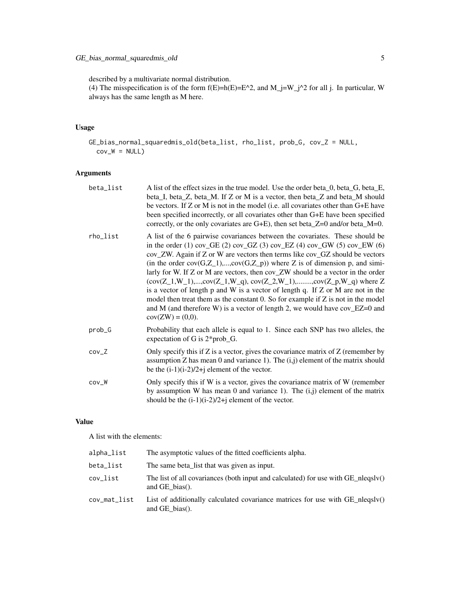described by a multivariate normal distribution.

(4) The misspecification is of the form  $f(E)=h(E)=E^2/2$ , and  $M_j=W_j^2/2$  for all j. In particular, W always has the same length as M here.

#### Usage

GE\_bias\_normal\_squaredmis\_old(beta\_list, rho\_list, prob\_G, cov\_Z = NULL,  $cov_W = NULL$ 

#### Arguments

| beta_list | A list of the effect sizes in the true model. Use the order beta 0, beta G, beta E,<br>beta_I, beta_Z, beta_M. If Z or M is a vector, then beta_Z and beta_M should<br>be vectors. If $Z$ or M is not in the model (i.e. all covariates other than $G+E$ have<br>been specified incorrectly, or all covariates other than G+E have been specified<br>correctly, or the only covariates are $G+E$ ), then set beta_ $Z=0$ and/or beta_ $M=0$ .                                                                                                                                                                                                                                                                                                                                     |
|-----------|-----------------------------------------------------------------------------------------------------------------------------------------------------------------------------------------------------------------------------------------------------------------------------------------------------------------------------------------------------------------------------------------------------------------------------------------------------------------------------------------------------------------------------------------------------------------------------------------------------------------------------------------------------------------------------------------------------------------------------------------------------------------------------------|
| rho_list  | A list of the 6 pairwise covariances between the covariates. These should be<br>in the order (1) cov_GE (2) cov_GZ (3) cov_EZ (4) cov_GW (5) cov_EW (6)<br>cov_ZW. Again if Z or W are vectors then terms like cov_GZ should be vectors<br>(in the order $cov(G,Z_1),,cov(G,Z_p)$ ) where Z is of dimension p, and simi-<br>larly for W. If Z or M are vectors, then cov_ZW should be a vector in the order<br>$(cov(Z_1, W_1), , cov(Z_1, W_q), cov(Z_2, W_1), , cov(Z_p, W_q)$ where Z<br>is a vector of length $p$ and $W$ is a vector of length $q$ . If $Z$ or $M$ are not in the<br>model then treat them as the constant 0. So for example if Z is not in the model<br>and M (and therefore W) is a vector of length 2, we would have $cov_EZ=0$ and<br>$cov(ZW) = (0,0).$ |
| prob_G    | Probability that each allele is equal to 1. Since each SNP has two alleles, the<br>expectation of G is $2*prob_G$ .                                                                                                                                                                                                                                                                                                                                                                                                                                                                                                                                                                                                                                                               |
| $cov_Z$   | Only specify this if Z is a vector, gives the covariance matrix of Z (remember by<br>assumption Z has mean 0 and variance 1). The $(i,j)$ element of the matrix should<br>be the $(i-1)(i-2)/2+j$ element of the vector.                                                                                                                                                                                                                                                                                                                                                                                                                                                                                                                                                          |
| $cov_W$   | Only specify this if W is a vector, gives the covariance matrix of W (remember<br>by assumption W has mean 0 and variance 1). The $(i, j)$ element of the matrix<br>should be the $(i-1)(i-2)/2+j$ element of the vector.                                                                                                                                                                                                                                                                                                                                                                                                                                                                                                                                                         |

#### Value

A list with the elements:

| alpha_list   | The asymptotic values of the fitted coefficients alpha.                                                        |
|--------------|----------------------------------------------------------------------------------------------------------------|
| beta_list    | The same beta list that was given as input.                                                                    |
| cov_list     | The list of all covariances (both input and calculated) for use with $GE$ nlegsly()<br>and $GE$ bias().        |
| cov_mat_list | List of additionally calculated covariance matrices for use with $GE_{\text{1}}$ nlegsly()<br>and $GE$ bias(). |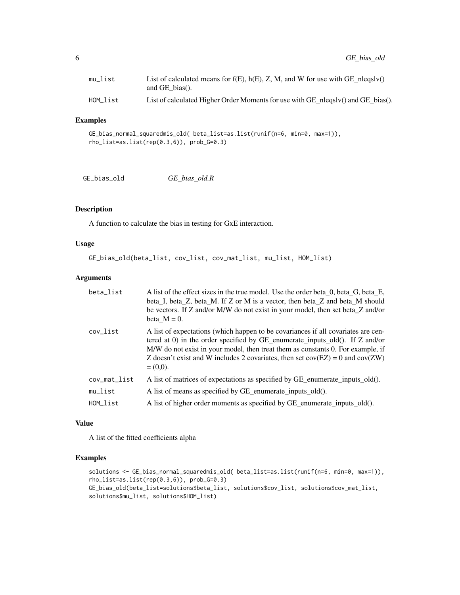<span id="page-5-0"></span>

| mu list  | List of calculated means for $f(E)$ , $h(E)$ , Z, M, and W for use with GE_nleqslv()<br>and GE bias().     |
|----------|------------------------------------------------------------------------------------------------------------|
| HOM list | List of calculated Higher Order Moments for use with $GE_{\text{1}}$ nlegsly() and $GE_{\text{2}}$ bias(). |

#### Examples

```
GE_bias_normal_squaredmis_old( beta_list=as.list(runif(n=6, min=0, max=1)),
rho_list=as.list(rep(0.3,6)), prob_G=0.3)
```

| GE_bias_old | GE bias old.R |  |
|-------------|---------------|--|
|-------------|---------------|--|

#### Description

A function to calculate the bias in testing for GxE interaction.

#### Usage

```
GE_bias_old(beta_list, cov_list, cov_mat_list, mu_list, HOM_list)
```
#### Arguments

| beta_list             | A list of the effect sizes in the true model. Use the order beta 0, beta G, beta E,<br>beta_I, beta_Z, beta_M. If Z or M is a vector, then beta_Z and beta_M should<br>be vectors. If Z and/or M/W do not exist in your model, then set beta_Z and/or<br>beta $M = 0$ .                                                                                 |
|-----------------------|---------------------------------------------------------------------------------------------------------------------------------------------------------------------------------------------------------------------------------------------------------------------------------------------------------------------------------------------------------|
| cov_list              | A list of expectations (which happen to be covariances if all covariates are cen-<br>tered at 0) in the order specified by GE_enumerate_inputs_old(). If Z and/or<br>M/W do not exist in your model, then treat them as constants 0. For example, if<br>Z doesn't exist and W includes 2 covariates, then set $cov(EZ) = 0$ and $cov(ZW)$<br>$= (0,0).$ |
| cov_mat_list          | A list of matrices of expectations as specified by GE_enumerate_inputs_old().                                                                                                                                                                                                                                                                           |
| $mu$ <sub>_list</sub> | A list of means as specified by GE_enumerate_inputs_old().                                                                                                                                                                                                                                                                                              |
| HOM list              | A list of higher order moments as specified by GE_enumerate_inputs_old().                                                                                                                                                                                                                                                                               |

#### Value

A list of the fitted coefficients alpha

#### Examples

```
solutions <- GE_bias_normal_squaredmis_old( beta_list=as.list(runif(n=6, min=0, max=1)),
rho_list=as.list(rep(0.3,6)), prob_G=0.3)
GE_bias_old(beta_list=solutions$beta_list, solutions$cov_list, solutions$cov_mat_list,
solutions$mu_list, solutions$HOM_list)
```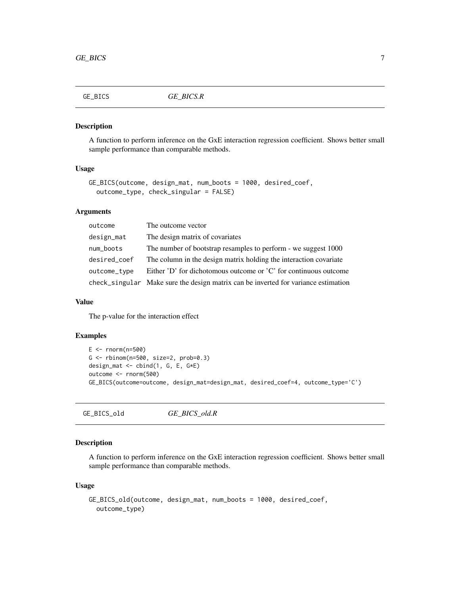<span id="page-6-0"></span>

#### Description

A function to perform inference on the GxE interaction regression coefficient. Shows better small sample performance than comparable methods.

#### Usage

```
GE_BICS(outcome, design_mat, num_boots = 1000, desired_coef,
 outcome_type, check_singular = FALSE)
```
#### Arguments

| outcome      | The outcome vector                                                                 |
|--------------|------------------------------------------------------------------------------------|
| design_mat   | The design matrix of covariates                                                    |
| num_boots    | The number of bootstrap resamples to perform - we suggest 1000                     |
| desired_coef | The column in the design matrix holding the interaction covariate                  |
| outcome_type | Either 'D' for dichotomous outcome or 'C' for continuous outcome                   |
|              | check_singular Make sure the design matrix can be inverted for variance estimation |

#### Value

The p-value for the interaction effect

#### Examples

```
E < - rnorm(n=500)
G <- rbinom(n=500, size=2, prob=0.3)
design_mat <- cbind(1, G, E, G*E)
outcome <- rnorm(500)
GE_BICS(outcome=outcome, design_mat=design_mat, desired_coef=4, outcome_type='C')
```
GE\_BICS\_old *GE\_BICS\_old.R*

#### Description

A function to perform inference on the GxE interaction regression coefficient. Shows better small sample performance than comparable methods.

#### Usage

```
GE_BICS_old(outcome, design_mat, num_boots = 1000, desired_coef,
  outcome_type)
```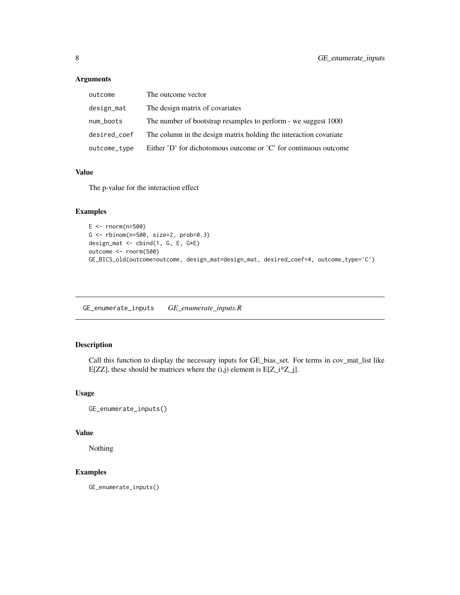#### <span id="page-7-0"></span>Arguments

| outcome      | The outcome vector                                                |
|--------------|-------------------------------------------------------------------|
| design_mat   | The design matrix of covariates                                   |
| num_boots    | The number of bootstrap resamples to perform - we suggest 1000    |
| desired_coef | The column in the design matrix holding the interaction covariate |
| outcome_type | Either 'D' for dichotomous outcome or 'C' for continuous outcome  |

#### Value

The p-value for the interaction effect

#### Examples

```
E < - rnorm(n=500)
G <- rbinom(n=500, size=2, prob=0.3)
design_mat <- cbind(1, G, E, G*E)
outcome <- rnorm(500)
GE_BICS_old(outcome=outcome, design_mat=design_mat, desired_coef=4, outcome_type='C')
```
GE\_enumerate\_inputs *GE\_enumerate\_inputs.R*

#### Description

Call this function to display the necessary inputs for GE\_bias\_set. For terms in cov\_mat\_list like E[ZZ], these should be matrices where the  $(i,j)$  element is E[Z\_i\*Z\_j].

#### Usage

```
GE_enumerate_inputs()
```
#### Value

Nothing

#### Examples

GE\_enumerate\_inputs()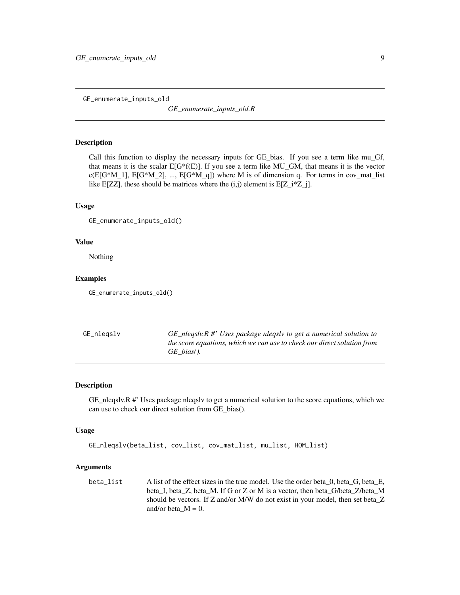<span id="page-8-0"></span>GE\_enumerate\_inputs\_old

*GE\_enumerate\_inputs\_old.R*

#### Description

Call this function to display the necessary inputs for GE\_bias. If you see a term like mu\_Gf, that means it is the scalar  $E[G<sup>*</sup>f(E)]$ . If you see a term like MU GM, that means it is the vector  $c(E[G^*M_1], E[G^*M_2], ..., E[G^*M_q])$  where M is of dimension q. For terms in cov\_mat\_list like E[ZZ], these should be matrices where the  $(i,j)$  element is E[Z\_i\*Z\_j].

#### Usage

```
GE_enumerate_inputs_old()
```
#### Value

Nothing

#### Examples

GE\_enumerate\_inputs\_old()

GE\_nleqslv *GE\_nleqslv.R #' Uses package nleqslv to get a numerical solution to the score equations, which we can use to check our direct solution from GE\_bias().*

#### Description

GE\_nleqslv.R #' Uses package nleqslv to get a numerical solution to the score equations, which we can use to check our direct solution from GE\_bias().

#### Usage

```
GE_nleqslv(beta_list, cov_list, cov_mat_list, mu_list, HOM_list)
```
#### **Arguments**

beta\_list A list of the effect sizes in the true model. Use the order beta\_0, beta\_G, beta\_E, beta\_I, beta\_Z, beta\_M. If G or Z or M is a vector, then beta\_G/beta\_Z/beta\_M should be vectors. If Z and/or M/W do not exist in your model, then set beta\_Z and/or beta\_ $M = 0$ .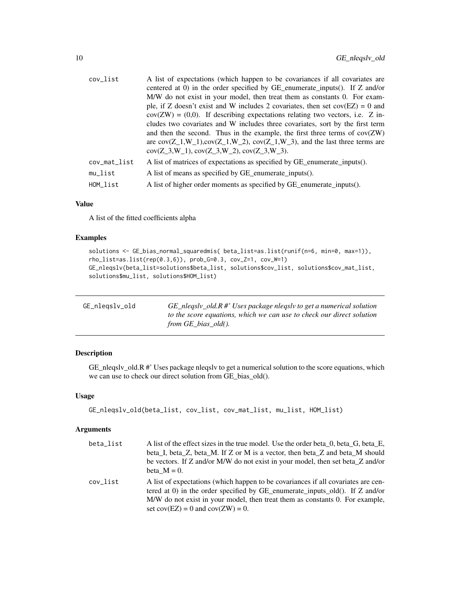<span id="page-9-0"></span>

| cov_list     | A list of expectations (which happen to be covariances if all covariates are<br>centered at 0) in the order specified by GE_enumerate_inputs(). If Z and/or<br>M/W do not exist in your model, then treat them as constants 0. For exam-<br>ple, if Z doesn't exist and W includes 2 covariates, then set $cov(EZ) = 0$ and<br>$cov(ZW) = (0,0)$ . If describing expectations relating two vectors, i.e. Z in-<br>cludes two covariates and W includes three covariates, sort by the first term<br>and then the second. Thus in the example, the first three terms of $cov(ZW)$<br>are $cov(Z_1, W_1), cov(Z_1, W_2), cov(Z_1, W_3),$ and the last three terms are<br>$cov(Z_3, W_1), cov(Z_3, W_2), cov(Z_3, W_3).$ |
|--------------|----------------------------------------------------------------------------------------------------------------------------------------------------------------------------------------------------------------------------------------------------------------------------------------------------------------------------------------------------------------------------------------------------------------------------------------------------------------------------------------------------------------------------------------------------------------------------------------------------------------------------------------------------------------------------------------------------------------------|
| cov_mat_list | A list of matrices of expectations as specified by GE enumerate inputs().                                                                                                                                                                                                                                                                                                                                                                                                                                                                                                                                                                                                                                            |
| $mu$ list    | A list of means as specified by GE_enumerate_inputs().                                                                                                                                                                                                                                                                                                                                                                                                                                                                                                                                                                                                                                                               |
| HOM list     | A list of higher order moments as specified by GE_enumerate_inputs().                                                                                                                                                                                                                                                                                                                                                                                                                                                                                                                                                                                                                                                |
|              |                                                                                                                                                                                                                                                                                                                                                                                                                                                                                                                                                                                                                                                                                                                      |

A list of the fitted coefficients alpha

#### Examples

```
solutions <- GE_bias_normal_squaredmis( beta_list=as.list(runif(n=6, min=0, max=1)),
rho_list=as.list(rep(0.3,6)), prob_G=0.3, cov_Z=1, cov_W=1)
GE_nleqslv(beta_list=solutions$beta_list, solutions$cov_list, solutions$cov_mat_list,
solutions$mu_list, solutions$HOM_list)
```

| GE_nlegslv_old | $GE_{\text{1}}$ nlegsly_old.R #' Uses package nlegsly to get a numerical solution |
|----------------|-----------------------------------------------------------------------------------|
|                | to the score equations, which we can use to check our direct solution             |
|                | from GE bias old().                                                               |

#### Description

GE\_nleqslv\_old.R #' Uses package nleqslv to get a numerical solution to the score equations, which we can use to check our direct solution from GE\_bias\_old().

#### Usage

```
GE_nleqslv_old(beta_list, cov_list, cov_mat_list, mu_list, HOM_list)
```

| beta list | A list of the effect sizes in the true model. Use the order beta 0, beta G, beta E,                                                                                                                                                                                                          |
|-----------|----------------------------------------------------------------------------------------------------------------------------------------------------------------------------------------------------------------------------------------------------------------------------------------------|
|           | beta I, beta Z, beta M. If Z or M is a vector, then beta Z and beta M should                                                                                                                                                                                                                 |
|           | be vectors. If Z and/or M/W do not exist in your model, then set beta_Z and/or                                                                                                                                                                                                               |
|           | beta $M = 0$ .                                                                                                                                                                                                                                                                               |
| cov list  | A list of expectations (which happen to be covariances if all covariates are cen-<br>tered at 0) in the order specified by GE_enumerate_inputs_old(). If $Z$ and/or<br>M/W do not exist in your model, then treat them as constants 0. For example,<br>set $cov(EZ) = 0$ and $cov(ZW) = 0$ . |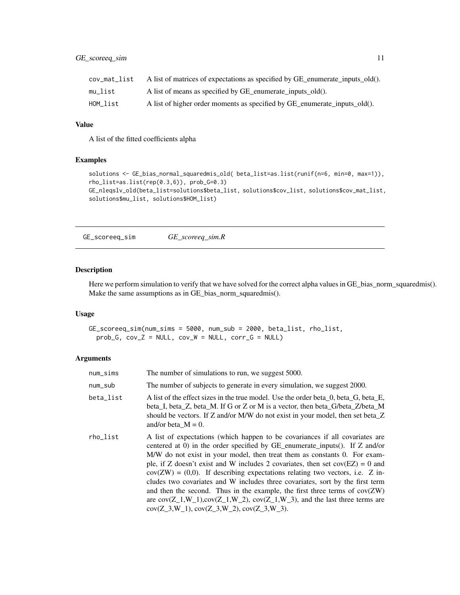#### <span id="page-10-0"></span>GE\_scoreeq\_sim 11

| cov mat list | A list of matrices of expectations as specified by GE_enumerate_inputs_old(). |
|--------------|-------------------------------------------------------------------------------|
| mu list      | A list of means as specified by GE_enumerate_inputs_old().                    |
| HOM list     | A list of higher order moments as specified by GE enumerate inputs old().     |

#### Value

A list of the fitted coefficients alpha

#### Examples

```
solutions <- GE_bias_normal_squaredmis_old( beta_list=as.list(runif(n=6, min=0, max=1)),
rho_list=as.list(rep(0.3,6)), prob_G=0.3)
GE_nleqslv_old(beta_list=solutions$beta_list, solutions$cov_list, solutions$cov_mat_list,
solutions$mu_list, solutions$HOM_list)
```
GE\_scoreeq\_sim *GE\_scoreeq\_sim.R*

#### Description

Here we perform simulation to verify that we have solved for the correct alpha values in GE\_bias\_norm\_squaredmis(). Make the same assumptions as in GE\_bias\_norm\_squaredmis().

#### Usage

```
GE_scoreeq_sim(num_sims = 5000, num_sub = 2000, beta_list, rho_list,
 prob_G, cov_Z = NULL, cov_W = NULL, corr_G = NULL
```

| num_sims  | The number of simulations to run, we suggest 5000.                                                                                                                                                                                                                                                                                                                                                                                                                                                                                                                                                                                                                                                                     |
|-----------|------------------------------------------------------------------------------------------------------------------------------------------------------------------------------------------------------------------------------------------------------------------------------------------------------------------------------------------------------------------------------------------------------------------------------------------------------------------------------------------------------------------------------------------------------------------------------------------------------------------------------------------------------------------------------------------------------------------------|
| num_sub   | The number of subjects to generate in every simulation, we suggest 2000.                                                                                                                                                                                                                                                                                                                                                                                                                                                                                                                                                                                                                                               |
| beta_list | A list of the effect sizes in the true model. Use the order beta 0, beta G, beta E,<br>beta I, beta Z, beta M. If G or Z or M is a vector, then beta G/beta Z/beta M<br>should be vectors. If Z and/or M/W do not exist in your model, then set beta Z<br>and/or beta $M = 0$ .                                                                                                                                                                                                                                                                                                                                                                                                                                        |
| rho_list  | A list of expectations (which happen to be covariances if all covariates are<br>centered at 0) in the order specified by GE enumerate inputs(). If $Z$ and/or<br>M/W do not exist in your model, then treat them as constants 0. For exam-<br>ple, if Z doesn't exist and W includes 2 covariates, then set $cov(EZ) = 0$ and<br>$cov(ZW) = (0,0)$ . If describing expectations relating two vectors, i.e. Z in-<br>cludes two covariates and W includes three covariates, sort by the first term<br>and then the second. Thus in the example, the first three terms of $cov(ZW)$<br>are $cov(Z_1, W_1), cov(Z_1, W_2), cov(Z_1, W_3),$ and the last three terms are<br>$cov(Z_3, W_1), cov(Z_3, W_2), cov(Z_3, W_3).$ |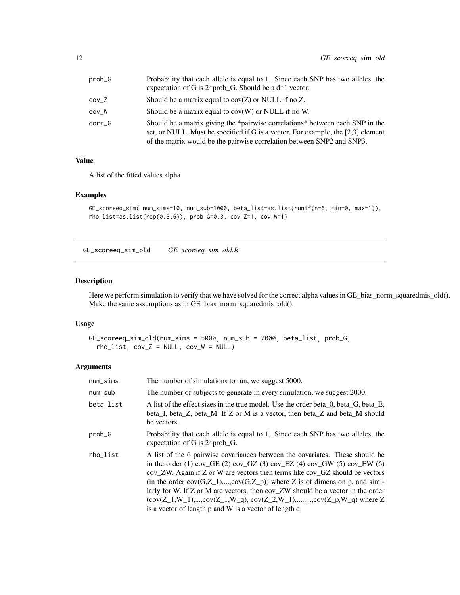<span id="page-11-0"></span>

| prob_G | Probability that each allele is equal to 1. Since each SNP has two alleles, the<br>expectation of G is $2*prob_G$ . Should be a $d*1$ vector.                                                                                                 |
|--------|-----------------------------------------------------------------------------------------------------------------------------------------------------------------------------------------------------------------------------------------------|
| cov Z  | Should be a matrix equal to $cov(Z)$ or NULL if no Z.                                                                                                                                                                                         |
| cov W  | Should be a matrix equal to $cov(W)$ or NULL if no W.                                                                                                                                                                                         |
| corr G | Should be a matrix giving the *pairwise correlations* between each SNP in the<br>set, or NULL. Must be specified if G is a vector. For example, the $[2,3]$ element<br>of the matrix would be the pairwise correlation between SNP2 and SNP3. |

A list of the fitted values alpha

#### Examples

```
GE_scoreeq_sim( num_sims=10, num_sub=1000, beta_list=as.list(runif(n=6, min=0, max=1)),
rho_list=as.list(rep(0.3,6)), prob_G=0.3, cov_Z=1, cov_W=1)
```
GE\_scoreeq\_sim\_old *GE\_scoreeq\_sim\_old.R*

#### Description

Here we perform simulation to verify that we have solved for the correct alpha values in GE\_bias\_norm\_squaredmis\_old(). Make the same assumptions as in GE\_bias\_norm\_squaredmis\_old().

#### Usage

```
GE_scoreeq_sim_old(num_sims = 5000, num_sub = 2000, beta_list, prob_G,
  rho\_list, cov_Z = NULL, cov_W = NULL)
```

| num_sims  | The number of simulations to run, we suggest 5000.                                                                                                                                                                                                                                                                                                                                                                                                                                                                                                                             |
|-----------|--------------------------------------------------------------------------------------------------------------------------------------------------------------------------------------------------------------------------------------------------------------------------------------------------------------------------------------------------------------------------------------------------------------------------------------------------------------------------------------------------------------------------------------------------------------------------------|
| num_sub   | The number of subjects to generate in every simulation, we suggest 2000.                                                                                                                                                                                                                                                                                                                                                                                                                                                                                                       |
| beta_list | A list of the effect sizes in the true model. Use the order beta 0, beta G, beta E,<br>beta I, beta Z, beta M. If Z or M is a vector, then beta Z and beta M should<br>be vectors.                                                                                                                                                                                                                                                                                                                                                                                             |
| prob_G    | Probability that each allele is equal to 1. Since each SNP has two alleles, the<br>expectation of G is $2*prob_G$ .                                                                                                                                                                                                                                                                                                                                                                                                                                                            |
| rho_list  | A list of the 6 pairwise covariances between the covariates. These should be<br>in the order (1) cov_GE (2) cov_GZ (3) cov_EZ (4) cov_GW (5) cov_EW (6)<br>cov ZW. Again if Z or W are vectors then terms like cov GZ should be vectors<br>(in the order $cov(G,\underline{Z}_1),cov(G,\underline{Z}_p)$ ) where Z is of dimension p, and simi-<br>larly for W. If $Z$ or M are vectors, then $cov_Z$ W should be a vector in the order<br>$(cov(Z_1, W_1), , cov(Z_1, W_q), cov(Z_2, W_1), , cov(Z_p, W_q)$ where Z<br>is a vector of length p and W is a vector of length q. |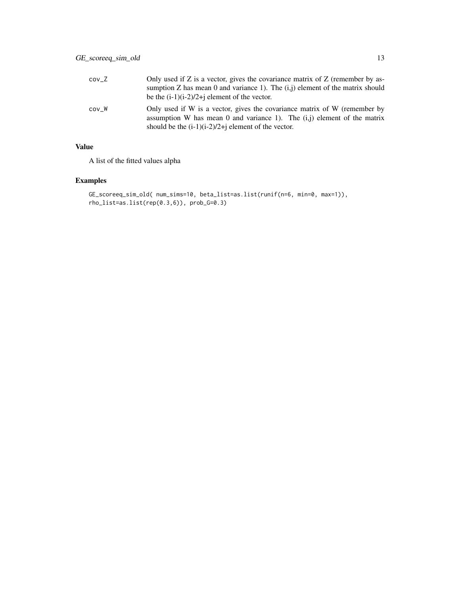| cov Z | Only used if $Z$ is a vector, gives the covariance matrix of $Z$ (remember by as-<br>sumption Z has mean 0 and variance 1). The $(i, j)$ element of the matrix should<br>be the $(i-1)(i-2)/2+j$ element of the vector. |
|-------|-------------------------------------------------------------------------------------------------------------------------------------------------------------------------------------------------------------------------|
| cov W | Only used if W is a vector, gives the covariance matrix of W (remember by<br>assumption W has mean 0 and variance 1). The $(i, j)$ element of the matrix<br>should be the $(i-1)(i-2)/2+j$ element of the vector.       |

A list of the fitted values alpha

#### Examples

```
GE_scoreeq_sim_old( num_sims=10, beta_list=as.list(runif(n=6, min=0, max=1)),
rho_list=as.list(rep(0.3,6)), prob_G=0.3)
```